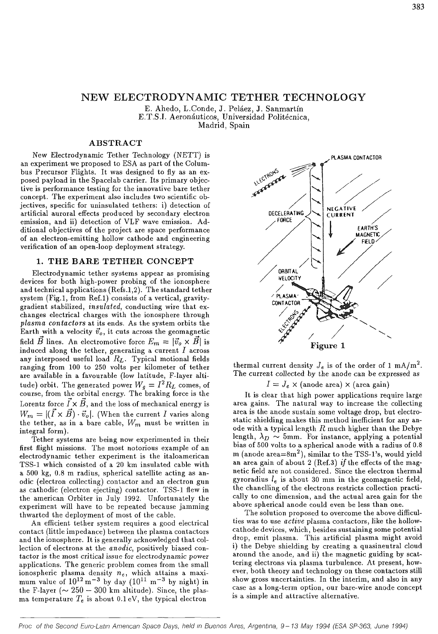## NEW ELECTRODYNAMIC TETHER TECHNOLOGY

E. Ahedo, L.Conde, J. Peláez, J. Sanmartín E.T.S.I. Aeronáuticos, Universidad Politécnica, Madrid, Spain

## **ABSTRACT**

New Electrodynarnic Tether Technology (NETT) is an experiment we proposed to ESA as part of the Columbus Precursor Flights. It was designed to fly as an exposed payload in the Spacelab carrier. Its primary objective is performance testing for the innovative bare tether concept. The experiment also includes two scientific objectives, specific for uninsulated tethers: i) detection of artificial auroral effects produced by secondary electron emission, and ii) detection of VLF wave emission. Additional objectives of the project are space performance of an electron-emitting hollow cathode and engineering verification of an open-loop deployment strategy.

#### 1. THE BARE TETHER CONCEPT

Electrodynarnic tether systems appear as promising devices for both high-power probing of the ionosphere and technical applications (Refs.1,2). The standard tether system (Fig.l, from Ref.l) consists of a vertical, gravitygradient stabilized, *insulated,* conducting wire that exchanges electrical charges with the ionosphere through *plasma contactors* at its ends. As the system orbits the Earth with a velocity  $\vec{v}_o$ , it cuts across the geomagnetic field  $\vec{B}$  lines. An electromotive force  $E_m = |\vec{v}_o \times \vec{B}|$  is induced along the tether, generating a current *I* across any interposed useful load *RL-* Typical motional fields ranging from 100 to 250 volts per kilometer of tether are available in a favourable (low latitude, F-layer altitude) orbit. The generated power  $W_q = I^2 R_L$  comes, of course, from the orbital energy. The braking force is the Lorentz force  $\vec{I} \times \vec{B}$ , and the loss of mechanical energy is  $W_m = |(\vec{I} \times \vec{B}) \cdot \vec{v}_o|$ . (When the current *I* varies along the tether, as in a bare cable, *Wm* must be written in integral form).

Tether systems are being now experimented in their first flight missions. The most notorious example of an electrodynarnic tether experiment is the italoamerican TSS-1 which consisted of a 20 km insulated cable with a 500 kg, 0.8 m radius, spherical satellite acting as anodic (electron collecting) contactor and an electron gun as cathodic (electron ejecting) contactor. TSS-1 flew in the american Orbiter in July 1992. Unfortunately the experiment will have to be repeated because jamming thwarted the deployment of most of the cable.

An efficient tether system requires a good electrical contact (little impedance) between the plasma contactors and the ionosphere. It is generally acknowledged that collection of electrons at the *anodic,* positively biased contactor is the most critical issue for electrodynarnic power applications. The generic problem comes from the small ionospheric plasma density *ne,* which attains a maximum value of  $10^{12}$  m<sup>-3</sup> by day  $(10^{11}$  m<sup>-3</sup> by night) in the F-layer ( $\sim 250-300$  km altitude). Since, the plasma temperature  $T_e$  is about 0.1 eV, the typical electron



thermal current density  $J_e$  is of the order of 1 mA/m<sup>2</sup>. The current collected by the anode can be expressed as

 $I = J_e \times ($ anode area)  $\times$  (area gain)

It is clear that high power applications require large area gains. The natural way to increase the collecting area is the anode sustain some voltage drop, but electrostatic shielding makes this method inefficient for any anode with a typical length *R* much higher than the Debye length,  $\lambda_D \sim 5$ mm. For instance, applying a potential bias of 500 volts to a spherical anode with a radius of 0.8 m (anode area $=8m^2$ ), similar to the TSS-1's, would yield an area gain of about 2 (Ref.3) *if the* effects of the magnetic field are not considered. Since the electron thermal gyroradius *le* is about 30 mm in the geomagnetic field, the chanelling of the electrons restricts collection practically to one dimension, and the actual area gain for the above spherical anode could even be less than one.

The solution proposed to overcome the above difficulties was to use *active* plasma contactors, like the hollowcathode devices, which, besides sustaining some potential drop, emit plasma. This artificial plasma might avoid i) the Debye shielding by creating a quasineutral cloud around the anode, and ii) the magnetic guiding by scattering electrons via plasma turbulence. At present, however, both theory and technology on these contactors still show gross uncertainties. In the interim, and also in any case as a long-term option, our bare-wire anode concept is a simple and attractive alternative.

Proc of the Second Euro-Latin American Space Days, held in Buenos Aires, Argentina, 9-13 May 1994 (ESA SP-363, June 1994)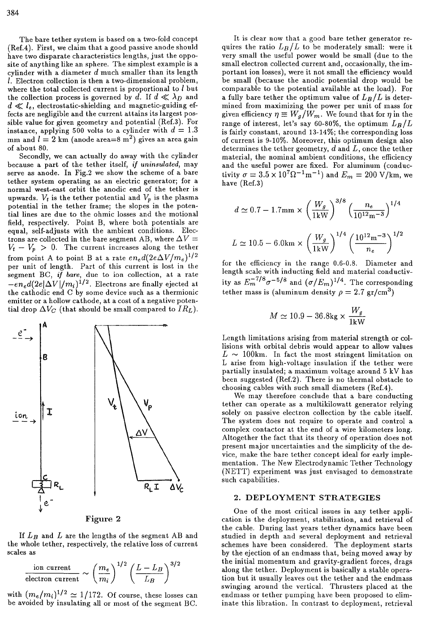The bare tether system is based on a two-fold concept (Ref.4). First, we claim that a good passive anode should have two disparate characteristics lengths, just the opposite of anything like an sphere. The simplest example is a cylinder with a diameter *d* much smaller than its length /. Electron collection is then a two-dimensional problem, where the total collected current is proportional to  $l$  but the collection process is governed by d. If  $d \ll \lambda_D$  and  $d \ll l_e$ , electrostatic-shielding and magnetic-guiding effects are negligible and the current attains its largest possible value for given geometry and potential (Ref.3). For instance, applying 500 volts to a cylinder with  $d = 1.3$ mm and  $l = 2$  km (anode area=8 m<sup>2</sup>) gives an area gain of about 80.

Secondly, we can actually do away with the cylinder because a part of the tether itself, *if uninsulated,* may serve as anode. In Fig.2 we show the scheme of a bare tether system operating as an electric generator; for a normal west-east orbit the anodic end of the tether is upwards.  $V_t$  is the tether potential and  $V_p$  is the plasma potential in the tether frame; the slopes in the potential lines are due to the ohmic losses and the motional field, respectively. Point B, where both potentials are equal, self-adjusts with the ambient conditions. Electrons are collected in the bare segment AB, where  $\Delta V =$  $V_t - V_p > 0$ . The current increases along the tether from point A to point B at a rate  $en_{e}d(2e\Delta V/m_{e})^{1/2}$ per unit of length. Part of this current is lost in the segment BC, *if bare,* due to ion collection, at a rate  $-e n_e d(2e|\Delta V|/m_i)^{1/2}$ . Electrons are finally ejected at the cathodic end C by some device such as a thermionic emitter or a hollow cathode, at a cost of a negative potential drop  $\Delta V_C$  (that should be small compared to  $IR_L$ ).



Figure 2

If *LB* and *L* are the lengths of the segment AB and the whole tether, respectively, the relative loss of current scales as

$$
\frac{\text{ion current}}{\text{electron current}} \sim \left(\frac{m_e}{m_i}\right)^{1/2} \left(\frac{L - L_B}{L_B}\right)^{3/2}
$$

with  $(m_e/m_i)^{1/2} \simeq 1/172$ . Of course, these losses can be avoided by insulating all or most of the segment BC.

It is clear now that a good bare tether generator requires the ratio  $L_B/L$  to be moderately small: were it very small the useful power would be small (due to the small electron collected current and, occasionally, the important ion losses), were it not small the efficiency would be small (because the anodic potential drop would be comparable to the potential available at the load). For a fully bare tether the optimum value of  $L_B/L$  is determined from maximizing the power per unit of mass for given efficiency  $\eta \equiv W_g/W_m$ . We found that for  $\eta$  in the range of interest, let's say 60-80%, the optimum  $L_B/L$ is fairly constant, around 13-14%; the corresponding loss of current is 9-10%. Moreover, this optimum design also determines the tether geometry, *d* and *L,* once the tether material, the nominal ambient conditions, the efficiency and the useful power are fixed. For aluminum (conductivity  $\sigma = 3.5 \times 10^7 \Omega^{-1} \text{m}^{-1}$  and  $E_m = 200 \text{ V/km}$ , we have (Ref.3)

$$
d \simeq 0.7 - 1.7 \text{mm} \times \left(\frac{W_g}{1 \text{kW}}\right)^{3/8} \left(\frac{n_e}{10^{12} \text{m}^{-3}}\right)^{1/4}
$$

$$
L \simeq 10.5 - 6.0 \text{km} \times \left(\frac{W_g}{1 \text{kW}}\right)^{1/4} \left(\frac{10^{12} \text{m}^{-3}}{n_e}\right)^{1/2}
$$

for the efficiency in the range 0.6-0.8. Diameter and length scale with inducting field and material conductivity as  $E_m^{-1/8} \sigma^{-5/8}$  and  $(\sigma/E_m)^{1/4}$ . The corresponding tether mass is (aluminum density  $\rho = 2.7 \text{ gr/cm}^3$ )

$$
M\simeq 10.9-36.8\mathrm{kg} \times \frac{W_g}{1\mathrm{kW}}
$$

Length limitations arising from material strength or collisions with orbital debris would appear to allow values  $L \sim 100$ km. In fact the most stringent limitation on L arise from high-voltage insulation if the tether were partially insulated; a maximum voltage around 5 kV has been suggested (Ref.2). There is no thermal obstacle to choosing cables with such small diameters (Ref.4).

We may therefore conclude that a bare conducting tether can operate as a multikilowatt generator relying solely on passive electron collection by the cable itself. The system does not require to operate and control a complex contactor at the end of a wire kilometers long. Altogether the fact that its theory of operation does not present major uncertainties and the simplicity of the device, make the bare tether concept ideal for early implementation. The New Electrodynamic Tether Technology (NETT) experiment was just envisaged to demonstrate such capabilities.

### 2. **DEPLOYMENT STRATEGIES**

One of the most critical issues in any tether application is the deployment, stabilization, and retrieval of the cable. During last years tether dynamics have been studied in depth and several deployment and retrieval schemes have been considered. The deployment starts by the ejection of an endmass that, being moved away by the initial momentum and gravity-gradient forces, drags along the tether. Deployment is basically a stable operation but it usually leaves out the tether and the endmass swinging around the vertical. Thrusters placed at the endmass or tether pumping have been proposed to eliminate this libration. In contrast to deployment, retrieval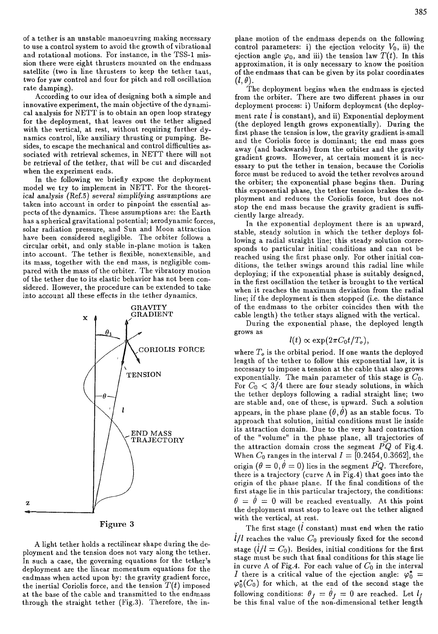of a tether is an unstable manoeuvring making necessary to use a control system to avoid the growth of vibrational and rotational motions. For instance, in the TSS-1 mission there were eight thrusters mounted on the endmass satellite (two in line thrusters to keep the tether taut, two for yaw control and four for pitch and roll oscillation rate damping).

According to our idea of designing both a simple and innovative experiment, the main objective of the dynamical analysis for NETT is to obtain an open loop strategy for the deployment, that leaves out the tether aligned with the vertical, at rest, without requiring further dynamics control, like auxiliary thrusting or pumping. Besides, to escape the mechanical and control difficulties associated with retrieval schemes, in NETT there will not be retrieval of the tether, that will be cut and discarded when the experiment ends.

In the following we briefly expose the deployment model we try to implement in NETT. For the theoretical analysis (Ref.5) several simplifying assumptions are taken into account in order to pinpoint the essential aspects of the dynamics. These assumptions are: the Earth has a spherical gravitational potential; aerodynamic forces, solar radiation pressure, and Sun and Moon attraction have been considered negligible. The orbiter follows a circular orbit, and only stable in-plane motion is taken into account. The tether is flexible, nonextensible, and its mass, together with the end mass, is negligible compared with the mass of the orbiter. The vibratory motion of the tether due to its elastic behavior has not been considered. However, the procedure can be extended to take into account all these effects in the tether dynamics.





A light tether holds a rectilinear shape during the deployment and the tension does not vary along the tether. In such a case, the governing equations for the tether's deployment are the linear momentum equations for the endmass when acted upon by: the gravity gradient force, the inertial Coriolis force, and the tension  $T(t)$  imposed at the base of the cable and transmitted to the endmass through the straight tether (Fig.3). Therefore, the inplane motion of the endmass depends on the following control parameters: i) the ejection velocity  $V_0$ , ii) the ejection angle  $\varphi_0$ , and iii) the tension law  $T(t)$ . In this approximation, it is only necessary to know the position of the endmass that can be given by its polar coordinates  $(l, \theta).$ 

The deployment begins when the endmass is ejected from the orbiter. There are two different phases in our deployment process: i) Uniform deployment (the deployment rate  $l$  is constant), and ii) Exponential deployment (the deployed length grows exponentially). During the first phase the tension is low, the gravity gradient is-small and the Coriolis force is dominant; the end mass goes away (and backwards) from the orbiter and the gravity gradient grows. However, at certain moment it is necessary to put the tether in tension, because the Coriolis force must be reduced to avoid the tether revolves around the orbiter; the exponential phase begins then. During this exponential phase, the tether tension brakes the deployment and reduces the Coriolis force, but does not stop the end mass because the gravity gradient is sufficiently large already.

In the exponential deployment there is an upward, stable, steady solution in which the tether deploys following a radial straight line; this steady solution corresponds to particular initial conditions and can not be reached using the first phase only. For other initial conditions, the tether swings around this radial line while deploying; if the exponential phase is suitably designed, in the first oscillation the tether is brought to the vertical when it reaches the maximum deviation from the radial line; if the deployment is then stopped (i.e. the distance of the endmass to the orbiter coincides then with the cable length) the tether stays aligned with the vertical.

During the exponential phase, the deployed length grows as

# $l(t) \propto \exp(2\pi C_0 t/T_o)$

where  $T<sub>o</sub>$  is the orbital period. If one wants the deployed length of the tether to follow this exponential law, it is necessary to impose a tension at the cable that also grows exponentially. The main parameter of this stage is *Co-*For  $C_0 < 3/4$  there are four steady solutions, in which the tether deploys following a radial straight line; two are stable and, one of these, is upward. Such a solution appears, in the phase plane  $(\theta, \theta)$  as an stable focus. To approach that solution, initial conditions must lie inside its attraction domain. Due to the very hard contraction of the "volume" in the phase plane, all trajectories of the attraction domain cross the segment  $\bar{PQ}$  of Fig.4. When  $C_0$  ranges in the interval  $I = [0.2454, 0.3662]$ , the origin  $(\theta = 0, \theta = 0)$  lies in the segment PQ. Therefore, there is a trajectory (curve A in Fig.4) that goes into the origin of the phase plane. If the final conditions of the first stage lie in this particular trajectory, the conditions:  $\theta = \theta = 0$  will be reached eventually. At this point the deployment must stop to leave out the tether aligned with the vertical, at rest.

The first stage  $(l \text{ constant})$  must end when the ratio  $1/l$  reaches the value  $C_0$  previously fixed for the second stage  $(l/l = C_0)$ . Besides, initial conditions for the first stage must be such that final conditions for this stage lie in curve A of Fig.4. For each value of  $C_0$  in the interval *I* there is a critical value of the ejection angle:  $\varphi_0^* =$  $\varphi_0^*(C_0)$  for which, at the end of the second stage the following conditions:  $\theta_f = \theta_f = 0$  are reached. Let  $l_f$ be this final value of the non-dimensional tether length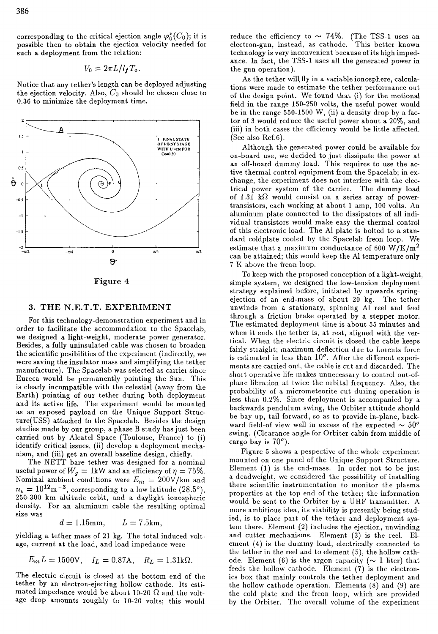corresponding to the critical ejection angle  $\varphi_0^*(C_0)$ ; it is possible then to obtain the ejection velocity needed for such a deployment from the relation:

$$
V_0 = 2\pi L/l_f T_o.
$$

Notice that any tether's length can be deployed adjusting the ejection velocity. Also,  $C_0$  should be chosen close to 0.36 to minimize the deployment time.



Figure 4

### 3. THE N.E.T.T. EXPERIMENT

For this technology-demonstration experiment and in order to facilitate the accommodation to the Spacelab, we designed a light-weight, moderate power generator. Besides, a fully uninsulated cable was chosen to broaden the scientific posibilities of the experiment (indirectly, we were saving the insulator mass and simplifying the tether manufacture). The Spacelab was selected as carrier since Eureca would be permanently pointing the Sun. This is clearly incompatible with the celestial (away from the Earth) pointing of our tether during both deployment and its active life. The experiment would be mounted as an exposed payload on the Unique Support Structure(USS) attached to the Spacelab. Besides the design studies made by our group, a phase B study has just been carried out by Alcatel Space (Toulouse, France) to (i) identify critical issues, (ii) develop a deployment mechanism, and (iii) get an overall baseline design, chiefly.

The NETT bare tether was designed for a nominal useful power of  $W_g = 1$ kW and an efficiency of  $\eta = 75\%$ . Nominal ambient conditions were  $E_m = 200$ V/km and  $n_e = 10^{12} \text{m}^{-3}$ , corresponding to a low latitude (28.5<sup>o</sup>). 250-300 km altitude orbit, and a daylight ionospheric density. For an aluminum cable the resulting optimal size was

 $d = 1.15$ mm,  $L = 7.5$ km,

yielding a tether mass of 21 kg. The total induced voltage, current at the load, and load impedance were

$$
E_m L = 1500 \text{V}, \quad I_L = 0.87 \text{A}, \quad R_L = 1.31 \text{k}\Omega.
$$

The electric circuit is closed at the bottom end of the tether by an electron-ejecting hollow cathode. Its estimated impedance would be about 10-20  $\Omega$  and the voltage drop amounts roughly to 10-20 volts; this would

reduce the efficiency to  $\sim$  74%. (The TSS-1 uses an electron-gun, instead, as cathode. This better known technology is very inconvenient because of its high impedance. In fact, the TSS-1 uses all the generated power in the gun operation).

As the tether will, fly in a variable ionosphere, calculations were made to estimate the tether performance out of the design point. We found that (i) for the motional field in the range 150-250 volts, the useful power would be in the range  $550-1500$  W, (ii) a density drop by a factor of 3 would reduce the useful power about a 20%, and (iii) in both cases the efficiency would be little affected. (See also Ref.6).

Although the generated power could be available for on-board use, we decided to just dissipate the power at an off-board dummy load. This requires to use the active thermal control equipment from the Spacelab; in exchange, the experiment does not interfere with the electrical power system of the carrier. The dummy load of 1.31 k $\Omega$  would consist on a series array of powertransistors, each working at about 1 amp, 100 volts. An aluminum plate connected to the dissipators of all individual transistors would make easy the thermal control of this electronic load. The Al plate is bolted to a standard coldplate cooled by the Spacelab freon loop. We estimate that a maximum conductance of 600 W/K/ $m<sup>2</sup>$ can be attained; this would keep the Al temperature only 7 K above the freon loop.

To keep with the proposed conception of a light-weight, simple system, we designed the low-tension deployment strategy explained before, initiated by upwards springejection of an end-mass of about 20 kg. The tether unwinds from a stationary, spinning Al reel and feed through a friction brake operated by a stepper motor. The estimated deployment time is about 55 minutes and when it ends the tether is, at rest, aligned with the vertical. When the electric circuit is closed the cable keeps fairly straight; maximum deflection due to Lorentz force is estimated in less than 10°. After the different experiments are carried out, the cable is cut and discarded. The shoit operative life makes unnecessaiv to control out-ofplane libration at twice the oibital fiequency. Also, the probability of a micrometeorite cut duiing operation is less than 0.2%. Since deployment is accompanied by a backwards pendulum swing, the Orbiter attitude should be bay up, tail forward, so as to provide in-plane, backward field-of view well in excess of the expected  $\sim 50^{\circ}$ swing. (Clearance angle for Orbiter cabin from middle of cargo bay is  $70^{\circ}$ ).

Figure 5 shows a pespective of the whole experiment mounted on one panel of the Unique Support Structure. Element (1) is the end-mass. In order not to be just a deadweight, we considered the possibility of installing there scientific instrumentation to monitor the plasma properties at the top end of the tether; the information would be sent to the Orbiter by a UHF transmitter. A more ambitious idea, its viability is presently being studied, is to place pait of the tether and deployment system there. Element (2) includes the ejection, unwinding and cutter mechanisms. Element (3) is the reel. Element (4) is the dummy load, electrically connected to the tether in the reel and to element (5), the hollow cathode. Element (6) is the argon capacity ( $\sim$  1 liter) that feeds the hollow cathode. Element (7) is the electronics box that mainly controls the tether deployment and the hollow cathode operation. Elements (8) and (9) are the cold plate and the freon loop, which are provided by the Orbiter. The overall volume of the experiment